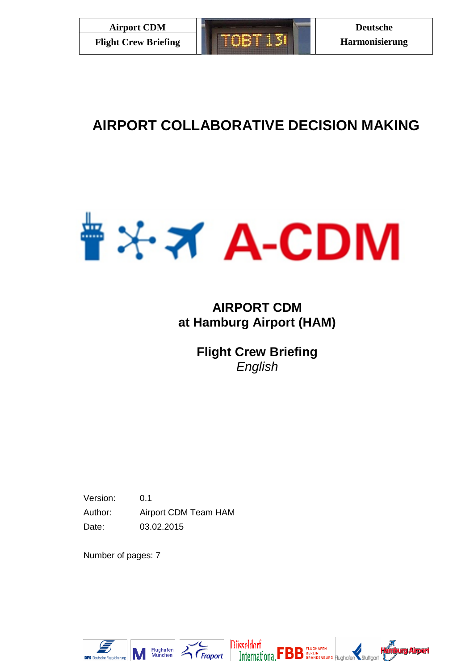# **AIRPORT COLLABORATIVE DECISION MAKING**



## **AIRPORT CDM at Hamburg Airport (HAM)**

**Flight Crew Briefing** *English*

Version: 0.1 Author: Airport CDM Team HAM Date: 03.02.2015

Number of pages: 7







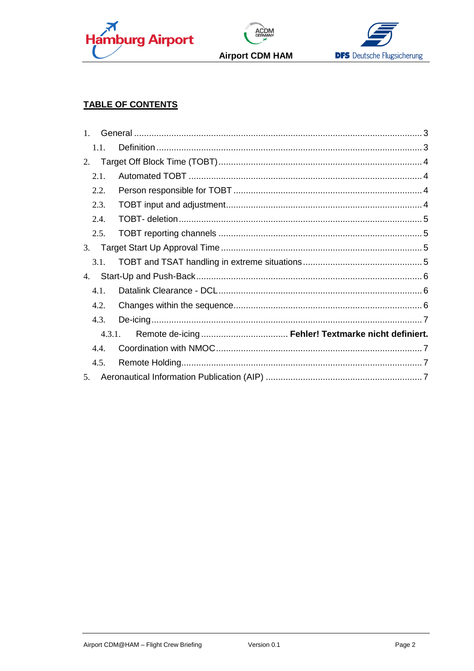





### **TABLE OF CONTENTS**

| 1.1.   |  |  |
|--------|--|--|
| 2.     |  |  |
| 2.1.   |  |  |
| 2.2.   |  |  |
| 2.3.   |  |  |
| 2.4.   |  |  |
| 2.5.   |  |  |
| 3.     |  |  |
| 3.1.   |  |  |
| 4.     |  |  |
| 4.1.   |  |  |
| 4.2.   |  |  |
| 4.3.   |  |  |
| 4.3.1. |  |  |
| 4.4.   |  |  |
| 4.5.   |  |  |
| 5.     |  |  |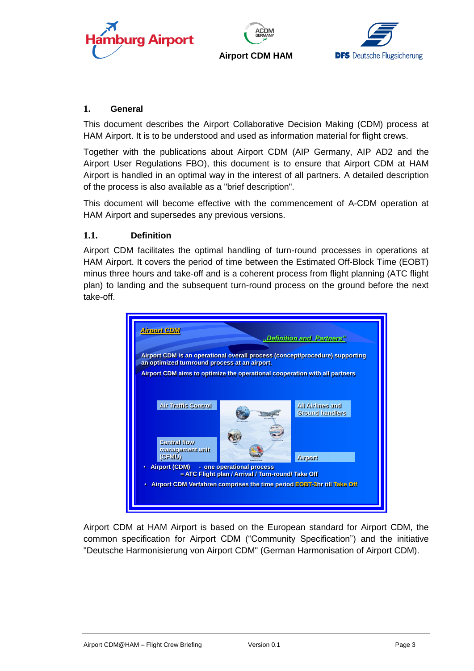





#### <span id="page-2-0"></span>**1. General**

This document describes the Airport Collaborative Decision Making (CDM) process at HAM Airport. It is to be understood and used as information material for flight crews.

Together with the publications about Airport CDM (AIP Germany, AIP AD2 and the Airport User Regulations FBO), this document is to ensure that Airport CDM at HAM Airport is handled in an optimal way in the interest of all partners. A detailed description of the process is also available as a "brief description".

This document will become effective with the commencement of A-CDM operation at HAM Airport and supersedes any previous versions.

#### <span id="page-2-1"></span>**1.1. Definition**

Airport CDM facilitates the optimal handling of turn-round processes in operations at HAM Airport. It covers the period of time between the Estimated Off-Block Time (EOBT) minus three hours and take-off and is a coherent process from flight planning (ATC flight plan) to landing and the subsequent turn-round process on the ground before the next take-off.



Airport CDM at HAM Airport is based on the European standard for Airport CDM, the common specification for Airport CDM ("Community Specification") and the initiative "Deutsche Harmonisierung von Airport CDM" (German Harmonisation of Airport CDM).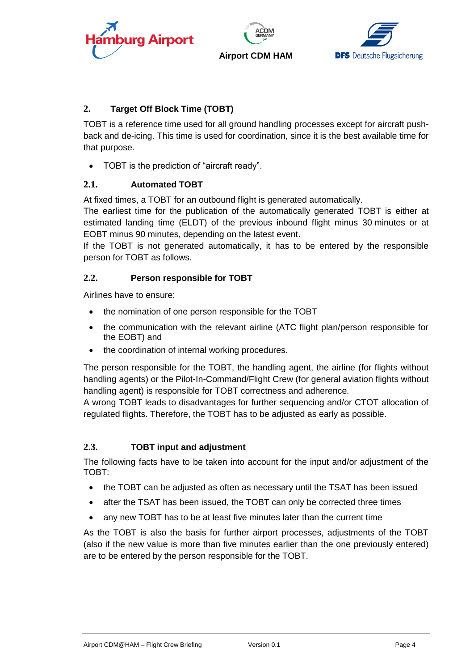





#### **Airport CDM HAM**

#### <span id="page-3-0"></span>**2. Target Off Block Time (TOBT)**

TOBT is a reference time used for all ground handling processes except for aircraft pushback and de-icing. This time is used for coordination, since it is the best available time for that purpose.

TOBT is the prediction of "aircraft ready".

#### <span id="page-3-1"></span>**2.1. Automated TOBT**

At fixed times, a TOBT for an outbound flight is generated automatically.

The earliest time for the publication of the automatically generated TOBT is either at estimated landing time (ELDT) of the previous inbound flight minus 30 minutes or at EOBT minus 90 minutes, depending on the latest event.

If the TOBT is not generated automatically, it has to be entered by the responsible person for TOBT as follows.

#### <span id="page-3-2"></span>**2.2. Person responsible for TOBT**

Airlines have to ensure:

- the nomination of one person responsible for the TOBT
- the communication with the relevant airline (ATC flight plan/person responsible for the EOBT) and
- the coordination of internal working procedures.

The person responsible for the TOBT, the handling agent, the airline (for flights without handling agents) or the Pilot-In-Command/Flight Crew (for general aviation flights without handling agent) is responsible for TOBT correctness and adherence.

A wrong TOBT leads to disadvantages for further sequencing and/or CTOT allocation of regulated flights. Therefore, the TOBT has to be adjusted as early as possible.

#### <span id="page-3-3"></span>**2.3. TOBT input and adjustment**

The following facts have to be taken into account for the input and/or adjustment of the TOBT:

- the TOBT can be adjusted as often as necessary until the TSAT has been issued
- after the TSAT has been issued, the TOBT can only be corrected three times
- any new TOBT has to be at least five minutes later than the current time

As the TOBT is also the basis for further airport processes, adjustments of the TOBT (also if the new value is more than five minutes earlier than the one previously entered) are to be entered by the person responsible for the TOBT.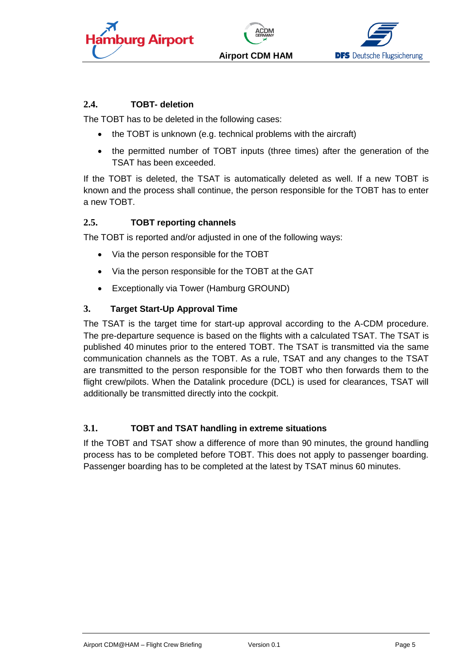





#### <span id="page-4-0"></span>**2.4. TOBT- deletion**

The TOBT has to be deleted in the following cases:

- the TOBT is unknown (e.g. technical problems with the aircraft)
- the permitted number of TOBT inputs (three times) after the generation of the TSAT has been exceeded.

If the TOBT is deleted, the TSAT is automatically deleted as well. If a new TOBT is known and the process shall continue, the person responsible for the TOBT has to enter a new TOBT.

#### <span id="page-4-1"></span>**2.5. TOBT reporting channels**

The TOBT is reported and/or adjusted in one of the following ways:

- Via the person responsible for the TOBT
- Via the person responsible for the TOBT at the GAT
- Exceptionally via Tower (Hamburg GROUND)

#### <span id="page-4-2"></span>**3. Target Start-Up Approval Time**

The TSAT is the target time for start-up approval according to the A-CDM procedure. The pre-departure sequence is based on the flights with a calculated TSAT. The TSAT is published 40 minutes prior to the entered TOBT. The TSAT is transmitted via the same communication channels as the TOBT. As a rule, TSAT and any changes to the TSAT are transmitted to the person responsible for the TOBT who then forwards them to the flight crew/pilots. When the Datalink procedure (DCL) is used for clearances, TSAT will additionally be transmitted directly into the cockpit.

#### <span id="page-4-3"></span>**3.1. TOBT and TSAT handling in extreme situations**

If the TOBT and TSAT show a difference of more than 90 minutes, the ground handling process has to be completed before TOBT. This does not apply to passenger boarding. Passenger boarding has to be completed at the latest by TSAT minus 60 minutes.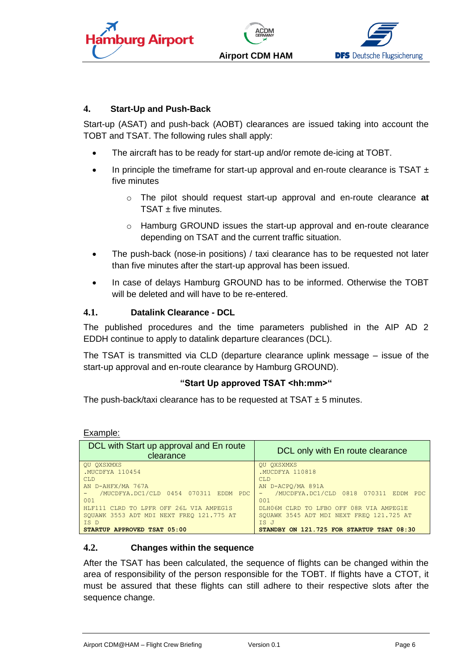





#### <span id="page-5-0"></span>**4. Start-Up and Push-Back**

Start-up (ASAT) and push-back (AOBT) clearances are issued taking into account the TOBT and TSAT. The following rules shall apply:

- The aircraft has to be ready for start-up and/or remote de-icing at TOBT.
- In principle the timeframe for start-up approval and en-route clearance is TSAT  $\pm$ five minutes
	- o The pilot should request start-up approval and en-route clearance **at**  TSAT + five minutes.
	- $\circ$  Hamburg GROUND issues the start-up approval and en-route clearance depending on TSAT and the current traffic situation.
- The push-back (nose-in positions) / taxi clearance has to be requested not later than five minutes after the start-up approval has been issued.
- In case of delays Hamburg GROUND has to be informed. Otherwise the TOBT will be deleted and will have to be re-entered.

#### <span id="page-5-1"></span>**4.1. Datalink Clearance - DCL**

The published procedures and the time parameters published in the AIP AD 2 EDDH continue to apply to datalink departure clearances (DCL).

The TSAT is transmitted via CLD (departure clearance uplink message – issue of the start-up approval and en-route clearance by Hamburg GROUND).

#### **"Start Up approved TSAT <hh:mm>"**

The push-back/taxi clearance has to be requested at TSAT  $\pm$  5 minutes.

Example: DCL with Start up approval and En route ap approval and En route | DCL only with En route clearance QU QXSXMXS .MUCDFYA 110454 CLD AN D-AHFX/MA 767A - /MUCDFYA.DC1/CLD 0454 070311 EDDM PDC 001 HLF111 CLRD TO LPFR OFF 26L VIA AMPEG1S SQUAWK 3553 ADT MDI NEXT FREQ 121.775 AT IS D **STARTUP APPROVED TSAT 05:00** QU QXSXMXS .MUCDFYA 110818 CLD AN D-ACPQ/MA 891A - /MUCDFYA.DC1/CLD 0818 070311 EDDM PDC 001 DLH06M CLRD TO LFBO OFF 08R VIA AMPEG1E SQUAWK 3545 ADT MDI NEXT FREQ 121.725 AT IS J **STANDBY ON 121.725 FOR STARTUP TSAT 08:30**

#### <span id="page-5-2"></span>**4.2. Changes within the sequence**

After the TSAT has been calculated, the sequence of flights can be changed within the area of responsibility of the person responsible for the TOBT. If flights have a CTOT, it must be assured that these flights can still adhere to their respective slots after the sequence change.